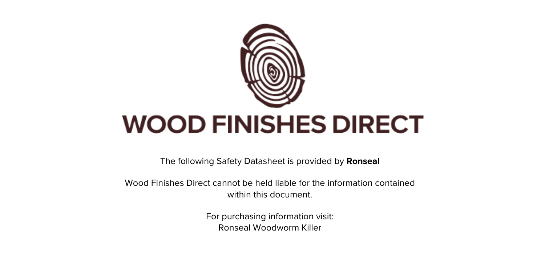

The following Safety Datasheet is provided by **Ronseal**

Wood Finishes Direct cannot be held liable for the information contained within this document.

> For purchasing information visit: [Ronseal Woodworm Killer](https://www.wood-finishes-direct.com/product/ronseal-woodworm-killer)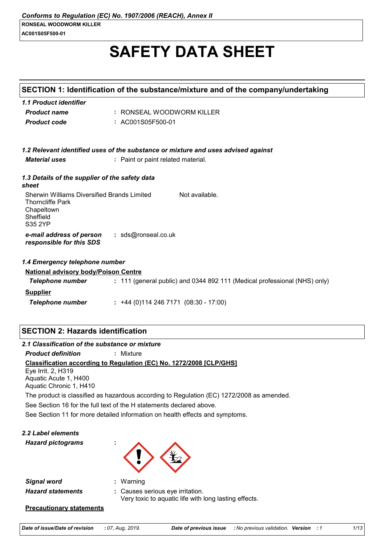# **SAFETY DATA SHEET**

|                                                                                                              | SECTION 1: Identification of the substance/mixture and of the company/undertaking |
|--------------------------------------------------------------------------------------------------------------|-----------------------------------------------------------------------------------|
| 1.1 Product identifier                                                                                       |                                                                                   |
| <b>Product name</b>                                                                                          | : RONSEAL WOODWORM KILLER                                                         |
| <b>Product code</b>                                                                                          | : AC001S05F500-01                                                                 |
|                                                                                                              | 1.2 Relevant identified uses of the substance or mixture and uses advised against |
| <b>Material uses</b>                                                                                         | : Paint or paint related material.                                                |
| 1.3 Details of the supplier of the safety data<br>sheet                                                      |                                                                                   |
| Sherwin Williams Diversified Brands Limited<br><b>Thorncliffe Park</b><br>Chapeltown<br>Sheffield<br>S35 2YP | Not available.                                                                    |
| e-mail address of person<br>responsible for this SDS                                                         | : sds@ronseal.co.uk                                                               |
| 1.4 Emergency telephone number                                                                               |                                                                                   |
| <b>National advisory body/Poison Centre</b>                                                                  |                                                                                   |
| <b>Telephone number</b>                                                                                      | : 111 (general public) and 0344 892 111 (Medical professional (NHS) only)         |
| <b>Supplier</b>                                                                                              |                                                                                   |
| <b>Telephone number</b>                                                                                      | $: +44(0)1142467171(08:30 - 17:00)$                                               |
|                                                                                                              |                                                                                   |
|                                                                                                              |                                                                                   |

# **SECTION 2: Hazards identification**

*2.1 Classification of the substance or mixture*

*Product definition* **:** Mixture

**Classification according to Regulation (EC) No. 1272/2008 [CLP/GHS]**

Eye Irrit. 2, H319 Aquatic Acute 1, H400 Aquatic Chronic 1, H410

The product is classified as hazardous according to Regulation (EC) 1272/2008 as amended.

See Section 16 for the full text of the H statements declared above.

See Section 11 for more detailed information on health effects and symptoms.

*2.2 Label elements*

*Hazard pictograms* **:**



*Signal word* **:** *Hazard statements* **:** Warning

Causes serious eye irritation. Very toxic to aquatic life with long lasting effects.

## **Precautionary statements**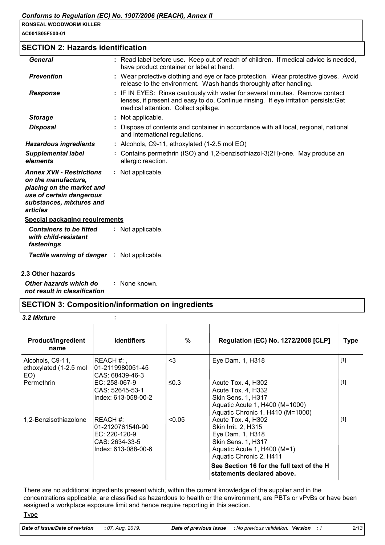**AC001S05F500-01**

## **SECTION 2: Hazards identification**

| <b>General</b>                                                                                                                                           | : Read label before use. Keep out of reach of children. If medical advice is needed,<br>have product container or label at hand.                                                                              |
|----------------------------------------------------------------------------------------------------------------------------------------------------------|---------------------------------------------------------------------------------------------------------------------------------------------------------------------------------------------------------------|
| <b>Prevention</b>                                                                                                                                        | : Wear protective clothing and eye or face protection. Wear protective gloves. Avoid<br>release to the environment. Wash hands thoroughly after handling.                                                     |
| <b>Response</b>                                                                                                                                          | : IF IN EYES: Rinse cautiously with water for several minutes. Remove contact<br>lenses, if present and easy to do. Continue rinsing. If eye irritation persists: Get<br>medical attention. Collect spillage. |
| <b>Storage</b>                                                                                                                                           | : Not applicable.                                                                                                                                                                                             |
| <b>Disposal</b>                                                                                                                                          | : Dispose of contents and container in accordance with all local, regional, national<br>and international regulations.                                                                                        |
| <b>Hazardous ingredients</b>                                                                                                                             | : Alcohols, C9-11, ethoxylated (1-2.5 mol EO)                                                                                                                                                                 |
| <b>Supplemental label</b><br>elements                                                                                                                    | : Contains permethrin (ISO) and 1,2-benzisothiazol-3(2H)-one. May produce an<br>allergic reaction.                                                                                                            |
| <b>Annex XVII - Restrictions</b><br>on the manufacture,<br>placing on the market and<br>use of certain dangerous<br>substances, mixtures and<br>articles | : Not applicable.                                                                                                                                                                                             |
| <b>Special packaging requirements</b>                                                                                                                    |                                                                                                                                                                                                               |
| <b>Containers to be fitted</b><br>with child-resistant<br>fastenings                                                                                     | : Not applicable.                                                                                                                                                                                             |
| <b>Tactile warning of danger : Not applicable.</b>                                                                                                       |                                                                                                                                                                                                               |
| 2.3 Other hazards                                                                                                                                        |                                                                                                                                                                                                               |

*Other hazards which do not result in classification* **:** None known.

## **SECTION 3: Composition/information on ingredients**

#### *3.2 Mixture* **:**

| <b>Product/ingredient</b><br>name                 | <b>Identifiers</b>                                                                      | $\%$   | <b>Regulation (EC) No. 1272/2008 [CLP]</b>                                                                                                                                                                                      | <b>Type</b> |
|---------------------------------------------------|-----------------------------------------------------------------------------------------|--------|---------------------------------------------------------------------------------------------------------------------------------------------------------------------------------------------------------------------------------|-------------|
| Alcohols, C9-11,<br>ethoxylated (1-2.5 mol<br>EO) | REACH #: ,<br>101-2119980051-45<br>CAS: 68439-46-3                                      | $3$    | Eye Dam. 1, H318                                                                                                                                                                                                                | $[1]$       |
| Permethrin                                        | $EC: 258-067-9$<br>CAS: 52645-53-1<br>Index: 613-058-00-2                               | ≤0.3   | Acute Tox. 4, H302<br>Acute Tox. 4, H332<br><b>Skin Sens. 1, H317</b><br>Aquatic Acute 1, H400 (M=1000)<br>Aquatic Chronic 1, H410 (M=1000)                                                                                     | $[1]$       |
| 1,2-Benzisothiazolone                             | IREACH #:<br>01-2120761540-90<br>EC: 220-120-9<br>CAS: 2634-33-5<br>Index: 613-088-00-6 | < 0.05 | Acute Tox. 4, H302<br>Skin Irrit. 2, H315<br>Eye Dam. 1, H318<br><b>Skin Sens. 1, H317</b><br>Aquatic Acute 1, H400 (M=1)<br>Aquatic Chronic 2, H411<br>See Section 16 for the full text of the H<br>statements declared above. | $[1]$       |

There are no additional ingredients present which, within the current knowledge of the supplier and in the concentrations applicable, are classified as hazardous to health or the environment, are PBTs or vPvBs or have been assigned a workplace exposure limit and hence require reporting in this section.

**Type**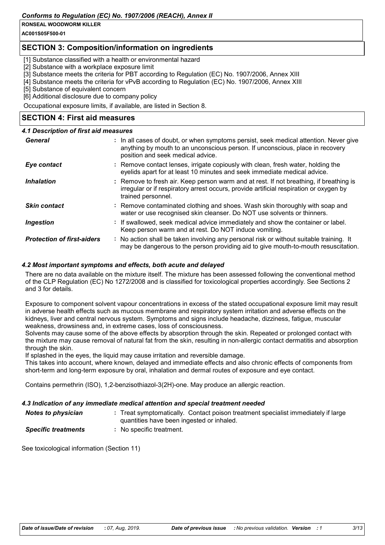**AC001S05F500-01**

## **SECTION 3: Composition/information on ingredients**

[1] Substance classified with a health or environmental hazard

[2] Substance with a workplace exposure limit

[3] Substance meets the criteria for PBT according to Regulation (EC) No. 1907/2006, Annex XIII

[4] Substance meets the criteria for vPvB according to Regulation (EC) No. 1907/2006, Annex XIII

[5] Substance of equivalent concern

[6] Additional disclosure due to company policy

Occupational exposure limits, if available, are listed in Section 8.

## **SECTION 4: First aid measures**

## *4.1 Description of first aid measures*

| General                           | : In all cases of doubt, or when symptoms persist, seek medical attention. Never give<br>anything by mouth to an unconscious person. If unconscious, place in recovery<br>position and seek medical advice. |
|-----------------------------------|-------------------------------------------------------------------------------------------------------------------------------------------------------------------------------------------------------------|
| Eye contact                       | : Remove contact lenses, irrigate copiously with clean, fresh water, holding the<br>eyelids apart for at least 10 minutes and seek immediate medical advice.                                                |
| <b>Inhalation</b>                 | : Remove to fresh air. Keep person warm and at rest. If not breathing, if breathing is<br>irregular or if respiratory arrest occurs, provide artificial respiration or oxygen by<br>trained personnel.      |
| <b>Skin contact</b>               | : Remove contaminated clothing and shoes. Wash skin thoroughly with soap and<br>water or use recognised skin cleanser. Do NOT use solvents or thinners.                                                     |
| <b>Ingestion</b>                  | : If swallowed, seek medical advice immediately and show the container or label.<br>Keep person warm and at rest. Do NOT induce vomiting.                                                                   |
| <b>Protection of first-aiders</b> | : No action shall be taken involving any personal risk or without suitable training. It<br>may be dangerous to the person providing aid to give mouth-to-mouth resuscitation.                               |

## *4.2 Most important symptoms and effects, both acute and delayed*

There are no data available on the mixture itself. The mixture has been assessed following the conventional method of the CLP Regulation (EC) No 1272/2008 and is classified for toxicological properties accordingly. See Sections 2 and 3 for details.

Exposure to component solvent vapour concentrations in excess of the stated occupational exposure limit may result in adverse health effects such as mucous membrane and respiratory system irritation and adverse effects on the kidneys, liver and central nervous system. Symptoms and signs include headache, dizziness, fatigue, muscular weakness, drowsiness and, in extreme cases, loss of consciousness.

Solvents may cause some of the above effects by absorption through the skin. Repeated or prolonged contact with the mixture may cause removal of natural fat from the skin, resulting in non-allergic contact dermatitis and absorption through the skin.

If splashed in the eyes, the liquid may cause irritation and reversible damage.

This takes into account, where known, delayed and immediate effects and also chronic effects of components from short-term and long-term exposure by oral, inhalation and dermal routes of exposure and eye contact.

Contains permethrin (ISO), 1,2-benzisothiazol-3(2H)-one. May produce an allergic reaction.

## *4.3 Indication of any immediate medical attention and special treatment needed*

| <b>Notes to physician</b> | Treat symptomatically. Contact poison treatment specialist immediately if large |
|---------------------------|---------------------------------------------------------------------------------|
|                           | quantities have been ingested or inhaled.                                       |

*Specific treatments* **:** No specific treatment.

See toxicological information (Section 11)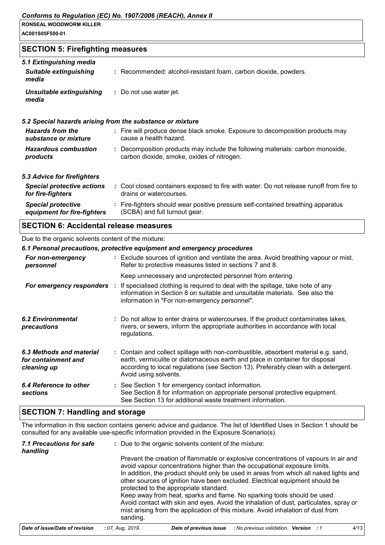#### **RONSEAL WOODWORM KILLER AC001S05F500-01**

## **SECTION 5: Firefighting measures**

| 5.1 Extinguishing media<br><b>Suitable extinguishing</b><br>media | : Recommended: alcohol-resistant foam, carbon dioxide, powders.                                                              |  |  |
|-------------------------------------------------------------------|------------------------------------------------------------------------------------------------------------------------------|--|--|
| Unsuitable extinguishing<br>media                                 | : Do not use water jet.                                                                                                      |  |  |
|                                                                   | 5.2 Special hazards arising from the substance or mixture                                                                    |  |  |
| <b>Hazards from the</b><br>substance or mixture                   | : Fire will produce dense black smoke. Exposure to decomposition products may<br>cause a health hazard.                      |  |  |
| <b>Hazardous combustion</b><br>products                           | : Decomposition products may include the following materials: carbon monoxide,<br>carbon dioxide, smoke, oxides of nitrogen. |  |  |
| 5.3 Advice for firefighters                                       |                                                                                                                              |  |  |
| <b>Special protective actions</b><br>for fire-fighters            | : Cool closed containers exposed to fire with water. Do not release runoff from fire to<br>drains or watercourses.           |  |  |
| <b>Special protective</b><br>equipment for fire-fighters          | : Fire-fighters should wear positive pressure self-contained breathing apparatus<br>(SCBA) and full turnout gear.            |  |  |

# **SECTION 6: Accidental release measures**

#### Due to the organic solvents content of the mixture:

| 6.1 Personal precautions, protective equipment and emergency procedures |  |                                                                                                                                                                                                                                                                                    |  |
|-------------------------------------------------------------------------|--|------------------------------------------------------------------------------------------------------------------------------------------------------------------------------------------------------------------------------------------------------------------------------------|--|
| For non-emergency<br>personnel                                          |  | : Exclude sources of ignition and ventilate the area. Avoid breathing vapour or mist.<br>Refer to protective measures listed in sections 7 and 8.                                                                                                                                  |  |
|                                                                         |  | Keep unnecessary and unprotected personnel from entering.                                                                                                                                                                                                                          |  |
| For emergency responders :                                              |  | If specialised clothing is required to deal with the spillage, take note of any<br>information in Section 8 on suitable and unsuitable materials. See also the<br>information in "For non-emergency personnel".                                                                    |  |
| <b>6.2 Environmental</b><br>precautions                                 |  | : Do not allow to enter drains or watercourses. If the product contaminates lakes,<br>rivers, or sewers, inform the appropriate authorities in accordance with local<br>regulations.                                                                                               |  |
| 6.3 Methods and material<br>for containment and<br>cleaning up          |  | : Contain and collect spillage with non-combustible, absorbent material e.g. sand,<br>earth, vermiculite or diatomaceous earth and place in container for disposal<br>according to local regulations (see Section 13). Preferably clean with a detergent.<br>Avoid using solvents. |  |
| 6.4 Reference to other<br><b>sections</b>                               |  | : See Section 1 for emergency contact information.<br>See Section 8 for information on appropriate personal protective equipment.<br>See Section 13 for additional waste treatment information.                                                                                    |  |

## **SECTION 7: Handling and storage**

The information in this section contains generic advice and guidance. The list of Identified Uses in Section 1 should be consulted for any available use-specific information provided in the Exposure Scenario(s).

| 7.1 Precautions for safe<br>handling | : Due to the organic solvents content of the mixture: |                                                                                                                                                                                                                                                                                                                                                                                     |                                     |  |      |  |  |
|--------------------------------------|-------------------------------------------------------|-------------------------------------------------------------------------------------------------------------------------------------------------------------------------------------------------------------------------------------------------------------------------------------------------------------------------------------------------------------------------------------|-------------------------------------|--|------|--|--|
|                                      |                                                       | Prevent the creation of flammable or explosive concentrations of vapours in air and<br>avoid vapour concentrations higher than the occupational exposure limits.<br>In addition, the product should only be used in areas from which all naked lights and<br>other sources of ignition have been excluded. Electrical equipment should be<br>protected to the appropriate standard. |                                     |  |      |  |  |
|                                      | sanding.                                              | Keep away from heat, sparks and flame. No sparking tools should be used.<br>Avoid contact with skin and eyes. Avoid the inhalation of dust, particulates, spray or<br>mist arising from the application of this mixture. Avoid inhalation of dust from                                                                                                                              |                                     |  |      |  |  |
| Date of issue/Date of revision       | : 07. Aug. 2019.                                      | Date of previous issue                                                                                                                                                                                                                                                                                                                                                              | No previous validation. Version : 1 |  | 4/13 |  |  |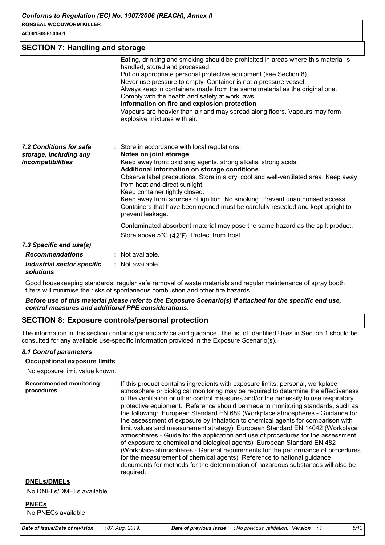**AC001S05F500-01**

## **SECTION 7: Handling and storage**

|                                                                               | Eating, drinking and smoking should be prohibited in areas where this material is<br>handled, stored and processed.<br>Put on appropriate personal protective equipment (see Section 8).<br>Never use pressure to empty. Container is not a pressure vessel.<br>Always keep in containers made from the same material as the original one.<br>Comply with the health and safety at work laws.<br>Information on fire and explosion protection<br>Vapours are heavier than air and may spread along floors. Vapours may form<br>explosive mixtures with air. |
|-------------------------------------------------------------------------------|-------------------------------------------------------------------------------------------------------------------------------------------------------------------------------------------------------------------------------------------------------------------------------------------------------------------------------------------------------------------------------------------------------------------------------------------------------------------------------------------------------------------------------------------------------------|
| 7.2 Conditions for safe<br>storage, including any<br><i>incompatibilities</i> | : Store in accordance with local regulations.<br>Notes on joint storage<br>Keep away from: oxidising agents, strong alkalis, strong acids.<br>Additional information on storage conditions<br>Observe label precautions. Store in a dry, cool and well-ventilated area. Keep away<br>from heat and direct sunlight.<br>Keep container tightly closed.<br>Keep away from sources of ignition. No smoking. Prevent unauthorised access.<br>Containers that have been opened must be carefully resealed and kept upright to<br>prevent leakage.                |
|                                                                               | Contaminated absorbent material may pose the same hazard as the spilt product.                                                                                                                                                                                                                                                                                                                                                                                                                                                                              |
|                                                                               | Store above $5^{\circ}C$ (42 $^{\circ}F$ ) Protect from frost.                                                                                                                                                                                                                                                                                                                                                                                                                                                                                              |
| 7.3 Specific end use(s)                                                       |                                                                                                                                                                                                                                                                                                                                                                                                                                                                                                                                                             |
| <b>Recommendations</b>                                                        | : Not available.                                                                                                                                                                                                                                                                                                                                                                                                                                                                                                                                            |
| Industrial sector specific                                                    | : Not available.                                                                                                                                                                                                                                                                                                                                                                                                                                                                                                                                            |

## *solutions*

Good housekeeping standards, regular safe removal of waste materials and regular maintenance of spray booth filters will minimise the risks of spontaneous combustion and other fire hazards.

#### *Before use of this material please refer to the Exposure Scenario(s) if attached for the specific end use, control measures and additional PPE considerations.*

## **SECTION 8: Exposure controls/personal protection**

The information in this section contains generic advice and guidance. The list of Identified Uses in Section 1 should be consulted for any available use-specific information provided in the Exposure Scenario(s).

#### *8.1 Control parameters*

#### **Occupational exposure limits**

No exposure limit value known.

| <b>Recommended monitoring</b><br>procedures | : If this product contains ingredients with exposure limits, personal, workplace<br>atmosphere or biological monitoring may be required to determine the effectiveness<br>of the ventilation or other control measures and/or the necessity to use respiratory<br>protective equipment. Reference should be made to monitoring standards, such as<br>the following: European Standard EN 689 (Workplace atmospheres - Guidance for<br>the assessment of exposure by inhalation to chemical agents for comparison with<br>limit values and measurement strategy) European Standard EN 14042 (Workplace<br>atmospheres - Guide for the application and use of procedures for the assessment<br>of exposure to chemical and biological agents) European Standard EN 482<br>(Workplace atmospheres - General requirements for the performance of procedures<br>for the measurement of chemical agents) Reference to national guidance<br>documents for methods for the determination of hazardous substances will also be<br>required. |
|---------------------------------------------|------------------------------------------------------------------------------------------------------------------------------------------------------------------------------------------------------------------------------------------------------------------------------------------------------------------------------------------------------------------------------------------------------------------------------------------------------------------------------------------------------------------------------------------------------------------------------------------------------------------------------------------------------------------------------------------------------------------------------------------------------------------------------------------------------------------------------------------------------------------------------------------------------------------------------------------------------------------------------------------------------------------------------------|
|---------------------------------------------|------------------------------------------------------------------------------------------------------------------------------------------------------------------------------------------------------------------------------------------------------------------------------------------------------------------------------------------------------------------------------------------------------------------------------------------------------------------------------------------------------------------------------------------------------------------------------------------------------------------------------------------------------------------------------------------------------------------------------------------------------------------------------------------------------------------------------------------------------------------------------------------------------------------------------------------------------------------------------------------------------------------------------------|

#### **DNELs/DMELs**

No DNELs/DMELs available.

#### **PNECs**

No PNECs available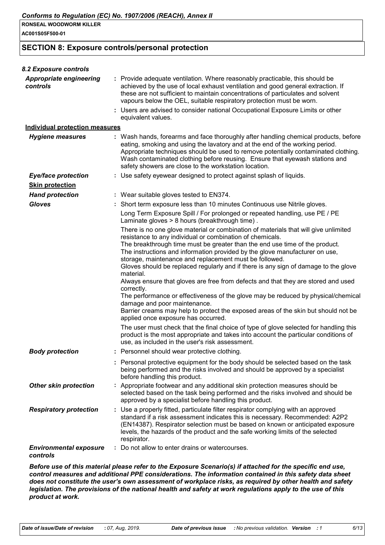**AC001S05F500-01**

## **SECTION 8: Exposure controls/personal protection**

| 8.2 Exposure controls                      |                                                                                                                                                                                                                                                                                                                                                                                                               |
|--------------------------------------------|---------------------------------------------------------------------------------------------------------------------------------------------------------------------------------------------------------------------------------------------------------------------------------------------------------------------------------------------------------------------------------------------------------------|
| <b>Appropriate engineering</b><br>controls | : Provide adequate ventilation. Where reasonably practicable, this should be<br>achieved by the use of local exhaust ventilation and good general extraction. If<br>these are not sufficient to maintain concentrations of particulates and solvent<br>vapours below the OEL, suitable respiratory protection must be worn.<br>: Users are advised to consider national Occupational Exposure Limits or other |
|                                            | equivalent values.                                                                                                                                                                                                                                                                                                                                                                                            |
| <b>Individual protection measures</b>      |                                                                                                                                                                                                                                                                                                                                                                                                               |
| <b>Hygiene measures</b>                    | : Wash hands, forearms and face thoroughly after handling chemical products, before<br>eating, smoking and using the lavatory and at the end of the working period.<br>Appropriate techniques should be used to remove potentially contaminated clothing.<br>Wash contaminated clothing before reusing. Ensure that eyewash stations and<br>safety showers are close to the workstation location.             |
| <b>Eye/face protection</b>                 | : Use safety eyewear designed to protect against splash of liquids.                                                                                                                                                                                                                                                                                                                                           |
| <b>Skin protection</b>                     |                                                                                                                                                                                                                                                                                                                                                                                                               |
| <b>Hand protection</b>                     | : Wear suitable gloves tested to EN374.                                                                                                                                                                                                                                                                                                                                                                       |
| <b>Gloves</b>                              | : Short term exposure less than 10 minutes Continuous use Nitrile gloves.                                                                                                                                                                                                                                                                                                                                     |
|                                            | Long Term Exposure Spill / For prolonged or repeated handling, use PE / PE<br>Laminate gloves > 8 hours (breakthrough time).                                                                                                                                                                                                                                                                                  |
|                                            | There is no one glove material or combination of materials that will give unlimited<br>resistance to any individual or combination of chemicals.<br>The breakthrough time must be greater than the end use time of the product.                                                                                                                                                                               |
|                                            | The instructions and information provided by the glove manufacturer on use,<br>storage, maintenance and replacement must be followed.                                                                                                                                                                                                                                                                         |
|                                            | Gloves should be replaced regularly and if there is any sign of damage to the glove<br>material.<br>Always ensure that gloves are free from defects and that they are stored and used                                                                                                                                                                                                                         |
|                                            | correctly.<br>The performance or effectiveness of the glove may be reduced by physical/chemical                                                                                                                                                                                                                                                                                                               |
|                                            | damage and poor maintenance.<br>Barrier creams may help to protect the exposed areas of the skin but should not be                                                                                                                                                                                                                                                                                            |
|                                            | applied once exposure has occurred.<br>The user must check that the final choice of type of glove selected for handling this<br>product is the most appropriate and takes into account the particular conditions of<br>use, as included in the user's risk assessment.                                                                                                                                        |
| <b>Body protection</b>                     | Personnel should wear protective clothing.                                                                                                                                                                                                                                                                                                                                                                    |
|                                            | : Personal protective equipment for the body should be selected based on the task<br>being performed and the risks involved and should be approved by a specialist<br>before handling this product.                                                                                                                                                                                                           |
| <b>Other skin protection</b>               | : Appropriate footwear and any additional skin protection measures should be<br>selected based on the task being performed and the risks involved and should be<br>approved by a specialist before handling this product.                                                                                                                                                                                     |
| <b>Respiratory protection</b>              | : Use a properly fitted, particulate filter respirator complying with an approved<br>standard if a risk assessment indicates this is necessary. Recommended: A2P2<br>(EN14387). Respirator selection must be based on known or anticipated exposure<br>levels, the hazards of the product and the safe working limits of the selected<br>respirator.                                                          |
| <b>Environmental exposure</b><br>controls  | Do not allow to enter drains or watercourses.                                                                                                                                                                                                                                                                                                                                                                 |
|                                            |                                                                                                                                                                                                                                                                                                                                                                                                               |

*Before use of this material please refer to the Exposure Scenario(s) if attached for the specific end use, control measures and additional PPE considerations. The information contained in this safety data sheet does not constitute the user's own assessment of workplace risks, as required by other health and safety legislation. The provisions of the national health and safety at work regulations apply to the use of this product at work.*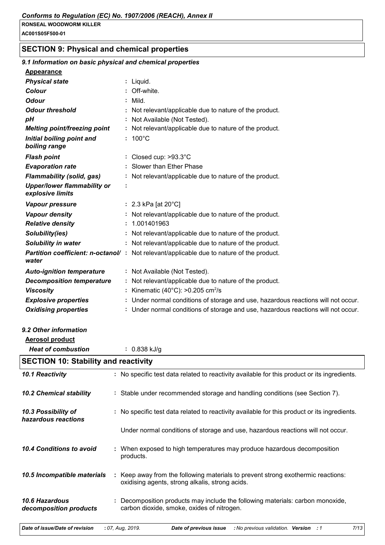**AC001S05F500-01**

# **SECTION 9: Physical and chemical properties**

| 9.1 Information on basic physical and chemical properties |                                                                                                                                     |
|-----------------------------------------------------------|-------------------------------------------------------------------------------------------------------------------------------------|
| <b>Appearance</b>                                         |                                                                                                                                     |
| <b>Physical state</b>                                     | Liquid.                                                                                                                             |
| <b>Colour</b>                                             | Off-white.                                                                                                                          |
| <b>Odour</b>                                              | Mild.                                                                                                                               |
| <b>Odour threshold</b>                                    | Not relevant/applicable due to nature of the product.                                                                               |
| pH                                                        | Not Available (Not Tested).                                                                                                         |
| Melting point/freezing point                              | Not relevant/applicable due to nature of the product.                                                                               |
| Initial boiling point and<br>boiling range                | $: 100^{\circ}$ C                                                                                                                   |
| <b>Flash point</b>                                        | : Closed cup: $>93.3^{\circ}$ C                                                                                                     |
| <b>Evaporation rate</b>                                   | Slower than Ether Phase                                                                                                             |
| <b>Flammability (solid, gas)</b>                          | : Not relevant/applicable due to nature of the product.                                                                             |
| <b>Upper/lower flammability or</b><br>explosive limits    | ÷                                                                                                                                   |
| Vapour pressure                                           | : 2.3 kPa [at 20 $^{\circ}$ C]                                                                                                      |
| <b>Vapour density</b>                                     | : Not relevant/applicable due to nature of the product.                                                                             |
| <b>Relative density</b>                                   | 1.001401963                                                                                                                         |
| Solubility(ies)                                           | Not relevant/applicable due to nature of the product.                                                                               |
| Solubility in water                                       | : Not relevant/applicable due to nature of the product.                                                                             |
| water                                                     | <b>Partition coefficient: n-octanol/</b> : Not relevant/applicable due to nature of the product.                                    |
| <b>Auto-ignition temperature</b>                          | : Not Available (Not Tested).                                                                                                       |
| <b>Decomposition temperature</b>                          | Not relevant/applicable due to nature of the product.                                                                               |
| <b>Viscosity</b>                                          | Kinematic (40 $^{\circ}$ C): >0.205 cm <sup>2</sup> /s                                                                              |
| <b>Explosive properties</b>                               | : Under normal conditions of storage and use, hazardous reactions will not occur.                                                   |
| <b>Oxidising properties</b>                               | : Under normal conditions of storage and use, hazardous reactions will not occur.                                                   |
|                                                           |                                                                                                                                     |
| 9.2 Other information                                     |                                                                                                                                     |
| <b>Aerosol product</b>                                    |                                                                                                                                     |
| <b>Heat of combustion</b>                                 | $: 0.838$ kJ/g                                                                                                                      |
| <b>SECTION 10: Stability and reactivity</b>               |                                                                                                                                     |
|                                                           |                                                                                                                                     |
| 10.1 Reactivity                                           | : No specific test data related to reactivity available for this product or its ingredients.                                        |
| <b>10.2 Chemical stability</b>                            | : Stable under recommended storage and handling conditions (see Section 7).                                                         |
| 10.3 Possibility of<br>hazardous reactions                | : No specific test data related to reactivity available for this product or its ingredients.                                        |
|                                                           | Under normal conditions of storage and use, hazardous reactions will not occur.                                                     |
| 10.4 Conditions to avoid                                  | When exposed to high temperatures may produce hazardous decomposition<br>products.                                                  |
| 10.5 Incompatible materials                               | : Keep away from the following materials to prevent strong exothermic reactions:<br>oxidising agents, strong alkalis, strong acids. |
| 10.6 Hazardous<br>decomposition products                  | Decomposition products may include the following materials: carbon monoxide,<br>carbon dioxide, smoke, oxides of nitrogen.          |

| Date of issue/Date of revision : 07, Aug, 2019. |  | <b>Date of previous issue</b> : No previous validation. <b>Version</b> . |  |  |  | 7/13 |
|-------------------------------------------------|--|--------------------------------------------------------------------------|--|--|--|------|
|-------------------------------------------------|--|--------------------------------------------------------------------------|--|--|--|------|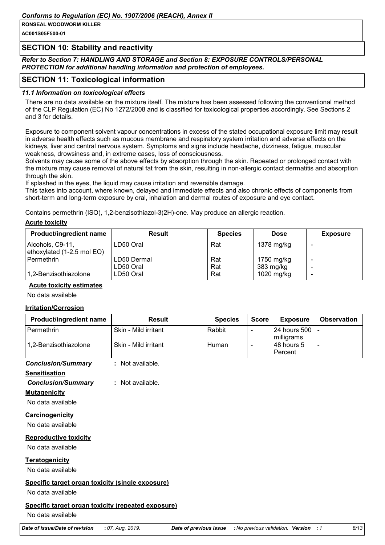**AC001S05F500-01**

## **SECTION 10: Stability and reactivity**

*Refer to Section 7: HANDLING AND STORAGE and Section 8: EXPOSURE CONTROLS/PERSONAL PROTECTION for additional handling information and protection of employees.*

## **SECTION 11: Toxicological information**

## *11.1 Information on toxicological effects*

There are no data available on the mixture itself. The mixture has been assessed following the conventional method of the CLP Regulation (EC) No 1272/2008 and is classified for toxicological properties accordingly. See Sections 2 and 3 for details.

Exposure to component solvent vapour concentrations in excess of the stated occupational exposure limit may result in adverse health effects such as mucous membrane and respiratory system irritation and adverse effects on the kidneys, liver and central nervous system. Symptoms and signs include headache, dizziness, fatigue, muscular weakness, drowsiness and, in extreme cases, loss of consciousness.

Solvents may cause some of the above effects by absorption through the skin. Repeated or prolonged contact with the mixture may cause removal of natural fat from the skin, resulting in non-allergic contact dermatitis and absorption through the skin.

If splashed in the eyes, the liquid may cause irritation and reversible damage.

This takes into account, where known, delayed and immediate effects and also chronic effects of components from short-term and long-term exposure by oral, inhalation and dermal routes of exposure and eye contact.

Contains permethrin (ISO), 1,2-benzisothiazol-3(2H)-one. May produce an allergic reaction.

#### **Acute toxicity**

| <b>Product/ingredient name</b>                 | <b>Result</b>            | <b>Species</b> | <b>Dose</b>             | <b>Exposure</b> |
|------------------------------------------------|--------------------------|----------------|-------------------------|-----------------|
| Alcohols, C9-11,<br>ethoxylated (1-2.5 mol EO) | LD50 Oral                | Rat            | 1378 mg/kg              |                 |
| Permethrin                                     | LD50 Dermal<br>LD50 Oral | Rat<br>Rat     | 1750 mg/kg<br>383 mg/kg |                 |
| 1,2-Benzisothiazolone                          | LD50 Oral                | Rat            | 1020 mg/kg              |                 |

## **Acute toxicity estimates**

No data available

## **Irritation/Corrosion**

| Product/ingredient name                            | <b>Result</b>        |                        | <b>Species</b> | <b>Score</b>             | <b>Exposure</b>                     | <b>Observation</b> |
|----------------------------------------------------|----------------------|------------------------|----------------|--------------------------|-------------------------------------|--------------------|
| Permethrin                                         | Skin - Mild irritant | Rabbit                 |                | $\overline{\phantom{a}}$ | 24 hours 500                        |                    |
| 1,2-Benzisothiazolone                              | Skin - Mild irritant |                        | Human          | $\overline{\phantom{a}}$ | milligrams<br>48 hours 5<br>Percent |                    |
| <b>Conclusion/Summary</b>                          | : Not available.     |                        |                |                          |                                     |                    |
| <b>Sensitisation</b>                               |                      |                        |                |                          |                                     |                    |
| <b>Conclusion/Summary</b>                          | : Not available.     |                        |                |                          |                                     |                    |
| <b>Mutagenicity</b><br>No data available           |                      |                        |                |                          |                                     |                    |
| Carcinogenicity                                    |                      |                        |                |                          |                                     |                    |
| No data available                                  |                      |                        |                |                          |                                     |                    |
| <b>Reproductive toxicity</b>                       |                      |                        |                |                          |                                     |                    |
| No data available                                  |                      |                        |                |                          |                                     |                    |
| <b>Teratogenicity</b>                              |                      |                        |                |                          |                                     |                    |
| No data available                                  |                      |                        |                |                          |                                     |                    |
| Specific target organ toxicity (single exposure)   |                      |                        |                |                          |                                     |                    |
| No data available                                  |                      |                        |                |                          |                                     |                    |
| Specific target organ toxicity (repeated exposure) |                      |                        |                |                          |                                     |                    |
| No data available                                  |                      |                        |                |                          |                                     |                    |
| Date of issue/Date of revision                     | : 07, Aug, 2019.     | Date of previous issue |                |                          | No previous validation. Version : 1 | 8/13               |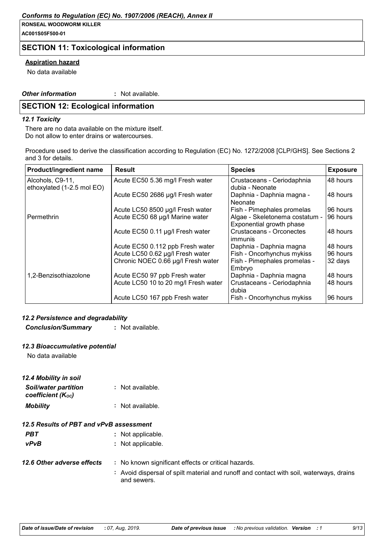## *Conforms to Regulation (EC) No. 1907/2006 (REACH), Annex II*

#### **RONSEAL WOODWORM KILLER**

**AC001S05F500-01**

## **SECTION 11: Toxicological information**

## **Aspiration hazard**

No data available

*Other information* **:**

: Not available.

## **SECTION 12: Ecological information**

#### *12.1 Toxicity*

There are no data available on the mixture itself. Do not allow to enter drains or watercourses.

Procedure used to derive the classification according to Regulation (EC) No. 1272/2008 [CLP/GHS]. See Sections 2 and 3 for details.

| Product/ingredient name                        | <b>Result</b>                        | <b>Species</b>                                             | <b>Exposure</b> |
|------------------------------------------------|--------------------------------------|------------------------------------------------------------|-----------------|
| Alcohols, C9-11,<br>ethoxylated (1-2.5 mol EO) | Acute EC50 5.36 mg/l Fresh water     | Crustaceans - Ceriodaphnia<br>dubia - Neonate              | 48 hours        |
|                                                | Acute EC50 2686 µg/l Fresh water     | Daphnia - Daphnia magna -<br><b>Neonate</b>                | 48 hours        |
|                                                | Acute LC50 8500 µg/l Fresh water     | Fish - Pimephales promelas                                 | 96 hours        |
| Permethrin                                     | Acute EC50 68 µg/l Marine water      | Algae - Skeletonema costatum -<br>Exponential growth phase | 96 hours        |
|                                                | Acute EC50 0.11 µg/l Fresh water     | Crustaceans - Orconectes<br>immunis                        | 48 hours        |
|                                                | Acute EC50 0.112 ppb Fresh water     | Daphnia - Daphnia magna                                    | 48 hours        |
|                                                | Acute LC50 0.62 µg/l Fresh water     | Fish - Oncorhynchus mykiss                                 | 96 hours        |
|                                                | Chronic NOEC 0.66 µg/l Fresh water   | Fish - Pimephales promelas -<br>Embryo                     | 32 days         |
| 1,2-Benzisothiazolone                          | Acute EC50 97 ppb Fresh water        | Daphnia - Daphnia magna                                    | 48 hours        |
|                                                | Acute LC50 10 to 20 mg/l Fresh water | Crustaceans - Ceriodaphnia<br>dubia                        | 48 hours        |
|                                                | Acute LC50 167 ppb Fresh water       | Fish - Oncorhynchus mykiss                                 | 96 hours        |

## *12.2 Persistence and degradability*

*Conclusion/Summary* **:** Not available.

## *12.3 Bioaccumulative potential*

No data available

| 12.4 Mobility in soil<br><b>Soil/water partition</b><br>coefficient (Koc) | : Not available.                 |
|---------------------------------------------------------------------------|----------------------------------|
| <b>Mobility</b>                                                           | : Not available.                 |
| 12.5 Results of PBT and vPvB assessment                                   |                                  |
|                                                                           | and Article to a contract of the |

| PBT                        | : Not applicable.                                              |
|----------------------------|----------------------------------------------------------------|
| <b>vPvB</b>                | : Not applicable.                                              |
| 12.6 Other adverse effects | : No known significant effects or critical hazards.            |
|                            | $\cdot$ Avoid dionareal of epilt material and runoff and contr |

**:** Avoid dispersal of spilt material and runoff and contact with soil, waterways, drains and sewers.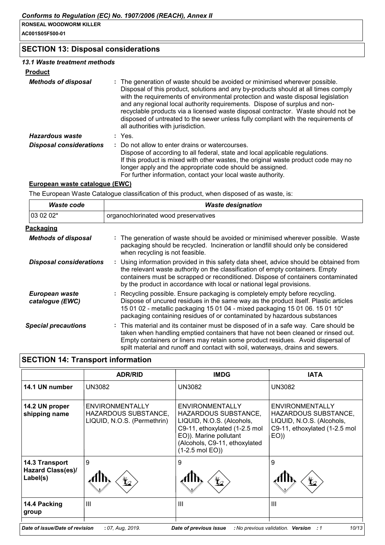**AC001S05F500-01**

## **SECTION 13: Disposal considerations**

## *13.1 Waste treatment methods*

| Product |
|---------|
|---------|

| uuv                            |                                                                                                                                                                                                                                                                                                                                                                                                                                                                                                                                                      |
|--------------------------------|------------------------------------------------------------------------------------------------------------------------------------------------------------------------------------------------------------------------------------------------------------------------------------------------------------------------------------------------------------------------------------------------------------------------------------------------------------------------------------------------------------------------------------------------------|
| <b>Methods of disposal</b>     | : The generation of waste should be avoided or minimised wherever possible.<br>Disposal of this product, solutions and any by-products should at all times comply<br>with the requirements of environmental protection and waste disposal legislation<br>and any regional local authority requirements. Dispose of surplus and non-<br>recyclable products via a licensed waste disposal contractor. Waste should not be<br>disposed of untreated to the sewer unless fully compliant with the requirements of<br>all authorities with jurisdiction. |
| Hazardous waste                | : Yes.                                                                                                                                                                                                                                                                                                                                                                                                                                                                                                                                               |
| <b>Disposal considerations</b> | : Do not allow to enter drains or watercourses.<br>Dispose of according to all federal, state and local applicable regulations.<br>If this product is mixed with other wastes, the original waste product code may no<br>longer apply and the appropriate code should be assigned.<br>For further information, contact your local waste authority.                                                                                                                                                                                                   |

## **European waste catalogue (EWC)**

The European Waste Catalogue classification of this product, when disposed of as waste, is:

| Waste code                        | <b>Waste designation</b>                                                                                                                                                                                                                                                                                                                     |  |  |
|-----------------------------------|----------------------------------------------------------------------------------------------------------------------------------------------------------------------------------------------------------------------------------------------------------------------------------------------------------------------------------------------|--|--|
| 03 02 02*                         | organochlorinated wood preservatives                                                                                                                                                                                                                                                                                                         |  |  |
| Packaging                         |                                                                                                                                                                                                                                                                                                                                              |  |  |
| <b>Methods of disposal</b>        | : The generation of waste should be avoided or minimised wherever possible. Waste<br>packaging should be recycled. Incineration or landfill should only be considered<br>when recycling is not feasible.                                                                                                                                     |  |  |
| <b>Disposal considerations</b>    | : Using information provided in this safety data sheet, advice should be obtained from<br>the relevant waste authority on the classification of empty containers. Empty<br>containers must be scrapped or reconditioned. Dispose of containers contaminated<br>by the product in accordance with local or national legal provisions.         |  |  |
| European waste<br>catalogue (EWC) | : Recycling possible. Ensure packaging is completely empty before recycling.<br>Dispose of uncured residues in the same way as the product itself. Plastic articles<br>15 01 02 - metallic packaging 15 01 04 - mixed packaging 15 01 06. 15 01 10 <sup>*</sup><br>packaging containing residues of or contaminated by hazardous substances  |  |  |
| <b>Special precautions</b>        | : This material and its container must be disposed of in a safe way. Care should be<br>taken when handling emptied containers that have not been cleaned or rinsed out.<br>Empty containers or liners may retain some product residues. Avoid dispersal of<br>spilt material and runoff and contact with soil, waterways, drains and sewers. |  |  |

# **SECTION 14: Transport information**

|                                                 | <b>ADR/RID</b>                                                         | <b>IMDG</b>                                                                                                                                                                                   | <b>IATA</b>                                                                                                   |
|-------------------------------------------------|------------------------------------------------------------------------|-----------------------------------------------------------------------------------------------------------------------------------------------------------------------------------------------|---------------------------------------------------------------------------------------------------------------|
| 14.1 UN number                                  | <b>UN3082</b>                                                          | <b>UN3082</b>                                                                                                                                                                                 | <b>UN3082</b>                                                                                                 |
| 14.2 UN proper<br>shipping name                 | ENVIRONMENTALLY<br>HAZARDOUS SUBSTANCE.<br>LIQUID, N.O.S. (Permethrin) | ENVIRONMENTALLY<br>HAZARDOUS SUBSTANCE.<br>LIQUID, N.O.S. (Alcohols,<br>C9-11, ethoxylated (1-2.5 mol<br>EO)). Marine pollutant<br>(Alcohols, C9-11, ethoxylated<br>$(1-2.5 \text{ mol } EO)$ | ENVIRONMENTALLY<br>HAZARDOUS SUBSTANCE,<br>LIQUID, N.O.S. (Alcohols,<br>C9-11, ethoxylated (1-2.5 mol<br>EO() |
| 14.3 Transport<br>Hazard Class(es)/<br>Label(s) | 9<br>Ł                                                                 | 9<br>$\mathbf{Y}$                                                                                                                                                                             | 9<br>$\bigstar$                                                                                               |
| 14.4 Packing<br>group                           | III                                                                    | Ш                                                                                                                                                                                             | Ш                                                                                                             |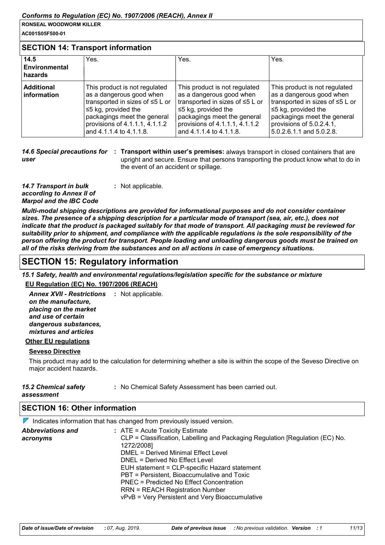**AC001S05F500-01**

## **SECTION 14: Transport information**

| 14.5<br>Environmental<br>hazards | Yes.                                                                                                                                                                                                                | Yes.                                                                                                                                                                                                                  | Yes.                                                                                                                                                                                                           |
|----------------------------------|---------------------------------------------------------------------------------------------------------------------------------------------------------------------------------------------------------------------|-----------------------------------------------------------------------------------------------------------------------------------------------------------------------------------------------------------------------|----------------------------------------------------------------------------------------------------------------------------------------------------------------------------------------------------------------|
| <b>Additional</b><br>information | This product is not regulated<br>as a dangerous good when<br>transported in sizes of ≤5 L or<br>$\leq$ kg, provided the<br>packagings meet the general<br>provisions of 4.1.1.1, 4.1.1.2<br>and 4.1.1.4 to 4.1.1.8. | This product is not regulated<br>as a dangerous good when<br>transported in sizes of ≤5 L or<br>$\leq$ 5 kg, provided the<br>packagings meet the general<br>provisions of 4.1.1.1, 4.1.1.2<br>and 4.1.1.4 to 4.1.1.8. | This product is not regulated<br>as a dangerous good when<br>transported in sizes of ≤5 L or<br>$\leq$ kg, provided the<br>packagings meet the general<br>provisions of 5.0.2.4.1,<br>5.0.2.6.1.1 and 5.0.2.8. |

14.6 Special precautions for : Transport within user's premises: always transport in closed containers that are *user* upright and secure. Ensure that persons transporting the product know what to do in the event of an accident or spillage.

*14.7 Transport in bulk according to Annex II of Marpol and the IBC Code* **:** Not applicable.

*Multi-modal shipping descriptions are provided for informational purposes and do not consider container sizes. The presence of a shipping description for a particular mode of transport (sea, air, etc.), does not indicate that the product is packaged suitably for that mode of transport. All packaging must be reviewed for suitability prior to shipment, and compliance with the applicable regulations is the sole responsibility of the person offering the product for transport. People loading and unloading dangerous goods must be trained on all of the risks deriving from the substances and on all actions in case of emergency situations.*

# **SECTION 15: Regulatory information**

*15.1 Safety, health and environmental regulations/legislation specific for the substance or mixture*

**EU Regulation (EC) No. 1907/2006 (REACH)**

**Annex XVII - Restrictions : Not applicable.** *on the manufacture, placing on the market and use of certain dangerous substances, mixtures and articles*

## **Other EU regulations**

## **Seveso Directive**

This product may add to the calculation for determining whether a site is within the scope of the Seveso Directive on major accident hazards.

| 15.2 Chemical safety | : No Chemical Safety Assessment has been carried out. |
|----------------------|-------------------------------------------------------|
| assessment           |                                                       |

## **SECTION 16: Other information**

 $\nabla$  Indicates information that has changed from previously issued version.

| <b>Abbreviations and</b> | $:$ ATE = Acute Toxicity Estimate                                             |  |
|--------------------------|-------------------------------------------------------------------------------|--|
| acronyms                 | CLP = Classification, Labelling and Packaging Regulation [Regulation (EC) No. |  |
|                          | 1272/2008]                                                                    |  |
|                          | DMEL = Derived Minimal Effect Level                                           |  |
|                          | DNEL = Derived No Effect Level                                                |  |
|                          | EUH statement = CLP-specific Hazard statement                                 |  |
|                          | PBT = Persistent, Bioaccumulative and Toxic                                   |  |
|                          | PNEC = Predicted No Effect Concentration                                      |  |
|                          | <b>RRN = REACH Registration Number</b>                                        |  |
|                          | vPvB = Very Persistent and Very Bioaccumulative                               |  |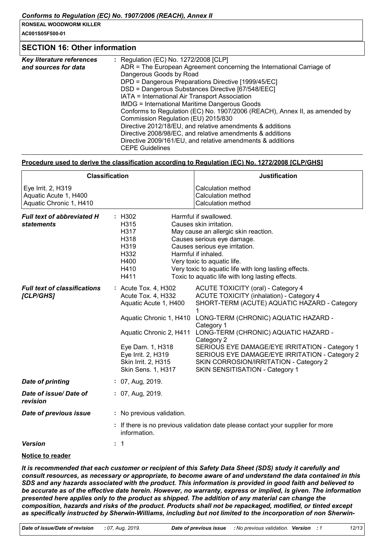**AC001S05F500-01**

## **SECTION 16: Other information**

| Key literature references | : Regulation (EC) No. 1272/2008 [CLP]                                      |  |  |
|---------------------------|----------------------------------------------------------------------------|--|--|
| and sources for data      | ADR = The European Agreement concerning the International Carriage of      |  |  |
|                           | Dangerous Goods by Road                                                    |  |  |
|                           | DPD = Dangerous Preparations Directive [1999/45/EC]                        |  |  |
|                           | DSD = Dangerous Substances Directive [67/548/EEC]                          |  |  |
|                           | IATA = International Air Transport Association                             |  |  |
|                           | <b>IMDG = International Maritime Dangerous Goods</b>                       |  |  |
|                           | Conforms to Regulation (EC) No. 1907/2006 (REACH), Annex II, as amended by |  |  |
|                           | Commission Regulation (EU) 2015/830                                        |  |  |
|                           | Directive 2012/18/EU, and relative amendments & additions                  |  |  |
|                           | Directive 2008/98/EC, and relative amendments & additions                  |  |  |
|                           | Directive 2009/161/EU, and relative amendments & additions                 |  |  |
|                           | <b>CEPE Guidelines</b>                                                     |  |  |

## **Procedure used to derive the classification according to Regulation (EC) No. 1272/2008 [CLP/GHS]**

| <b>Classification</b>                                                  |                                                                                                                                                                                       | <b>Justification</b>                                                                                                                                                                                                                                                                                                                                                                                                                                            |  |
|------------------------------------------------------------------------|---------------------------------------------------------------------------------------------------------------------------------------------------------------------------------------|-----------------------------------------------------------------------------------------------------------------------------------------------------------------------------------------------------------------------------------------------------------------------------------------------------------------------------------------------------------------------------------------------------------------------------------------------------------------|--|
| Eye Irrit. 2, H319<br>Aquatic Acute 1, H400<br>Aquatic Chronic 1, H410 |                                                                                                                                                                                       | <b>Calculation method</b><br>Calculation method<br><b>Calculation method</b>                                                                                                                                                                                                                                                                                                                                                                                    |  |
| <b>Full text of abbreviated H</b><br><b>statements</b>                 | : H302<br>H315<br>H317<br>H318<br>H319<br>H332<br>H400<br>H410<br>H411                                                                                                                | Harmful if swallowed.<br>Causes skin irritation.<br>May cause an allergic skin reaction.<br>Causes serious eye damage.<br>Causes serious eye irritation.<br>Harmful if inhaled.<br>Very toxic to aquatic life.<br>Very toxic to aquatic life with long lasting effects.<br>Toxic to aquatic life with long lasting effects.                                                                                                                                     |  |
| <b>Full text of classifications</b><br>[CLP/GHS]                       | : Acute Tox. 4, H302<br>Acute Tox. 4, H332<br>Aquatic Acute 1, H400<br>Aquatic Chronic 2, H411<br>Eye Dam. 1, H318<br>Eye Irrit. 2, H319<br>Skin Irrit. 2, H315<br>Skin Sens. 1, H317 | ACUTE TOXICITY (oral) - Category 4<br><b>ACUTE TOXICITY (inhalation) - Category 4</b><br>SHORT-TERM (ACUTE) AQUATIC HAZARD - Category<br>1<br>Aquatic Chronic 1, H410 LONG-TERM (CHRONIC) AQUATIC HAZARD -<br>Category 1<br>LONG-TERM (CHRONIC) AQUATIC HAZARD -<br>Category 2<br>SERIOUS EYE DAMAGE/EYE IRRITATION - Category 1<br>SERIOUS EYE DAMAGE/EYE IRRITATION - Category 2<br>SKIN CORROSION/IRRITATION - Category 2<br>SKIN SENSITISATION - Category 1 |  |
| <b>Date of printing</b>                                                | : 07, Aug, 2019.                                                                                                                                                                      |                                                                                                                                                                                                                                                                                                                                                                                                                                                                 |  |
| Date of issue/Date of<br>revision                                      | : 07, Aug, 2019.                                                                                                                                                                      |                                                                                                                                                                                                                                                                                                                                                                                                                                                                 |  |
| Date of previous issue                                                 | : No previous validation.                                                                                                                                                             |                                                                                                                                                                                                                                                                                                                                                                                                                                                                 |  |
|                                                                        | information.                                                                                                                                                                          | : If there is no previous validation date please contact your supplier for more                                                                                                                                                                                                                                                                                                                                                                                 |  |
| <b>Version</b>                                                         | $\colon$ 1                                                                                                                                                                            |                                                                                                                                                                                                                                                                                                                                                                                                                                                                 |  |
|                                                                        |                                                                                                                                                                                       |                                                                                                                                                                                                                                                                                                                                                                                                                                                                 |  |

## **Notice to reader**

*It is recommended that each customer or recipient of this Safety Data Sheet (SDS) study it carefully and consult resources, as necessary or appropriate, to become aware of and understand the data contained in this SDS and any hazards associated with the product. This information is provided in good faith and believed to be accurate as of the effective date herein. However, no warranty, express or implied, is given. The information presented here applies only to the product as shipped. The addition of any material can change the composition, hazards and risks of the product. Products shall not be repackaged, modified, or tinted except as specifically instructed by Sherwin-Williams, including but not limited to the incorporation of non Sherwin-*